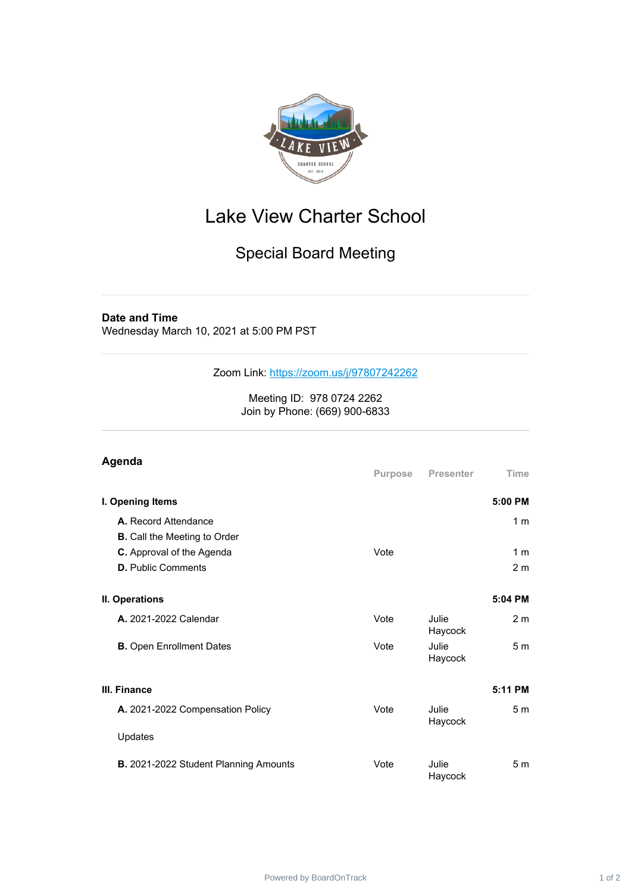

## Lake View Charter School

## Special Board Meeting

## **Date and Time**

Wednesday March 10, 2021 at 5:00 PM PST

Zoom Link: <https://zoom.us/j/97807242262>

Meeting ID: 978 0724 2262 Join by Phone: (669) 900-6833

| Agenda                                                      | Purpose | <b>Presenter</b>        | <b>Time</b>                      |
|-------------------------------------------------------------|---------|-------------------------|----------------------------------|
| I. Opening Items                                            |         |                         | 5:00 PM                          |
| A. Record Attendance<br><b>B.</b> Call the Meeting to Order |         |                         | 1 <sub>m</sub>                   |
| C. Approval of the Agenda<br><b>D.</b> Public Comments      | Vote    |                         | 1 <sub>m</sub><br>2 <sub>m</sub> |
| II. Operations                                              |         |                         | 5:04 PM                          |
| <b>A.</b> 2021-2022 Calendar                                | Vote    | Julie<br>Haycock        | 2 <sub>m</sub>                   |
| <b>B.</b> Open Enrollment Dates                             | Vote    | Julie<br>Haycock        | 5 <sub>m</sub>                   |
| III. Finance                                                |         |                         | 5:11 PM                          |
| A. 2021-2022 Compensation Policy                            | Vote    | <b>Julie</b><br>Haycock | 5 <sub>m</sub>                   |
| Updates                                                     |         |                         |                                  |
| B. 2021-2022 Student Planning Amounts                       | Vote    | Julie<br>Haycock        | 5m                               |